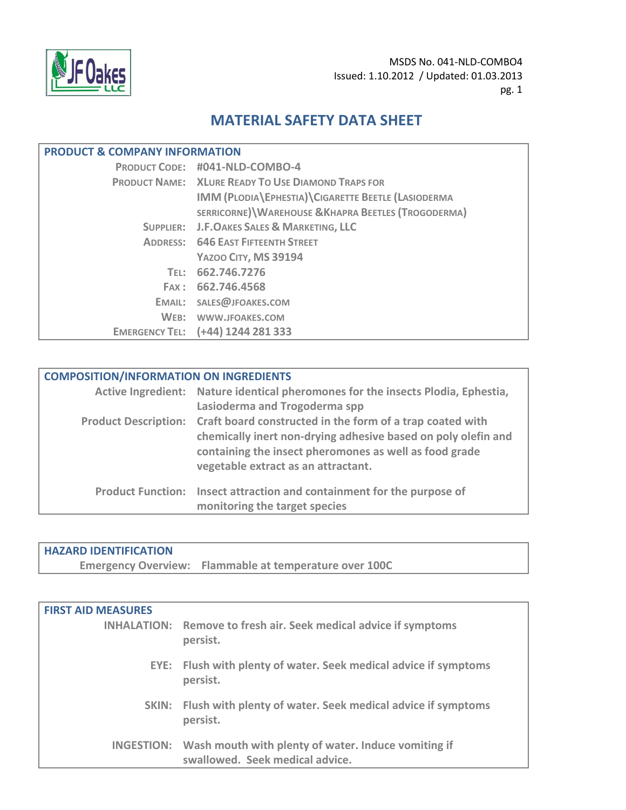

# **MATERIAL SAFETY DATA SHEET**

| <b>PRODUCT &amp; COMPANY INFORMATION</b> |                                                           |  |
|------------------------------------------|-----------------------------------------------------------|--|
|                                          | PRODUCT CODE: #041-NLD-COMBO-4                            |  |
|                                          | <b>PRODUCT NAME: XLURE READY TO USE DIAMOND TRAPS FOR</b> |  |
|                                          | IMM (PLODIA EPHESTIA) CIGARETTE BEETLE (LASIODERMA        |  |
|                                          | SERRICORNE) WAREHOUSE & KHAPRA BEETLES (TROGODERMA)       |  |
|                                          | SUPPLIER: J.F.OAKES SALES & MARKETING, LLC                |  |
|                                          | <b>ADDRESS: 646 EAST FIFTEENTH STREET</b>                 |  |
|                                          | YAZOO CITY, MS 39194                                      |  |
| TEL: L                                   | 662.746.7276                                              |  |
|                                          | FAX: 662.746.4568                                         |  |
|                                          | EMAIL: SALES@JFOAKES.COM                                  |  |
| $WEB$ :                                  | WWW.JFOAKES.COM                                           |  |
|                                          | EMERGENCY TEL: (+44) 1244 281 333                         |  |

| <b>COMPOSITION/INFORMATION ON INGREDIENTS</b> |                                                                                                                                                                                                                                                  |  |
|-----------------------------------------------|--------------------------------------------------------------------------------------------------------------------------------------------------------------------------------------------------------------------------------------------------|--|
|                                               | Active Ingredient: Nature identical pheromones for the insects Plodia, Ephestia,<br>Lasioderma and Trogoderma spp                                                                                                                                |  |
|                                               | Product Description: Craft board constructed in the form of a trap coated with<br>chemically inert non-drying adhesive based on poly olefin and<br>containing the insect pheromones as well as food grade<br>vegetable extract as an attractant. |  |
|                                               | Product Function: Insect attraction and containment for the purpose of<br>monitoring the target species                                                                                                                                          |  |

## **HAZARD IDENTIFICATION**

**Emergency Overview: Flammable at temperature over 100C**

| <b>FIRST AID MEASURES</b> |                                                                                                   |
|---------------------------|---------------------------------------------------------------------------------------------------|
|                           | <b>INHALATION:</b> Remove to fresh air. Seek medical advice if symptoms<br>persist.               |
|                           | EYE: Flush with plenty of water. Seek medical advice if symptoms<br>persist.                      |
|                           | SKIN: Flush with plenty of water. Seek medical advice if symptoms<br>persist.                     |
|                           | INGESTION: Wash mouth with plenty of water. Induce vomiting if<br>swallowed. Seek medical advice. |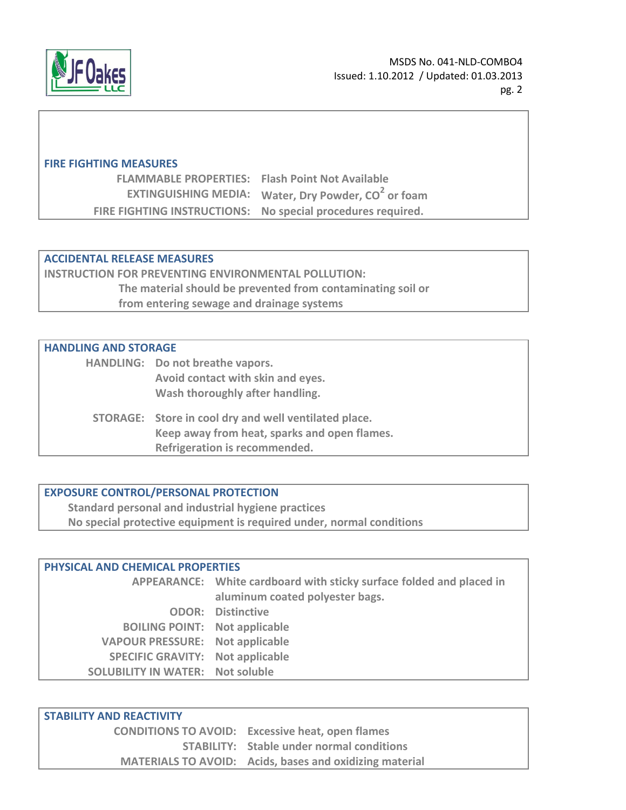

### **FIRE FIGHTING MEASURES**

| <b>FLAMMABLE PROPERTIES:</b> Flash Point Not Available |                                                                        |
|--------------------------------------------------------|------------------------------------------------------------------------|
|                                                        | <b>EXTINGUISHING MEDIA:</b> Water, Dry Powder, CO <sup>2</sup> or foam |
|                                                        | FIRE FIGHTING INSTRUCTIONS: No special procedures required.            |

### **ACCIDENTAL RELEASE MEASURES**

**INSTRUCTION FOR PREVENTING ENVIRONMENTAL POLLUTION: The material should be prevented from contaminating soil or from entering sewage and drainage systems**

### **HANDLING AND STORAGE**

| HANDLING: Do not breathe vapors.                                                                      |
|-------------------------------------------------------------------------------------------------------|
| Avoid contact with skin and eyes.                                                                     |
| Wash thoroughly after handling.                                                                       |
| STORAGE: Store in cool dry and well ventilated place.<br>Keep away from heat, sparks and open flames. |
| Refrigeration is recommended.                                                                         |

### **EXPOSURE CONTROL/PERSONAL PROTECTION**

**Standard personal and industrial hygiene practices No special protective equipment is required under, normal conditions**

### **PHYSICAL AND CHEMICAL PROPERTIES**

**APPEARANCE: White cardboard with sticky surface folded and placed in aluminum coated polyester bags. ODOR: Distinctive BOILING POINT: Not applicable VAPOUR PRESSURE: Not applicable SPECIFIC GRAVITY: Not applicable SOLUBILITY IN WATER: Not soluble**

### **STABILITY AND REACTIVITY**

| <b>CONDITIONS TO AVOID:</b> Excessive heat, open flames        |
|----------------------------------------------------------------|
| <b>STABILITY:</b> Stable under normal conditions               |
| <b>MATERIALS TO AVOID:</b> Acids, bases and oxidizing material |